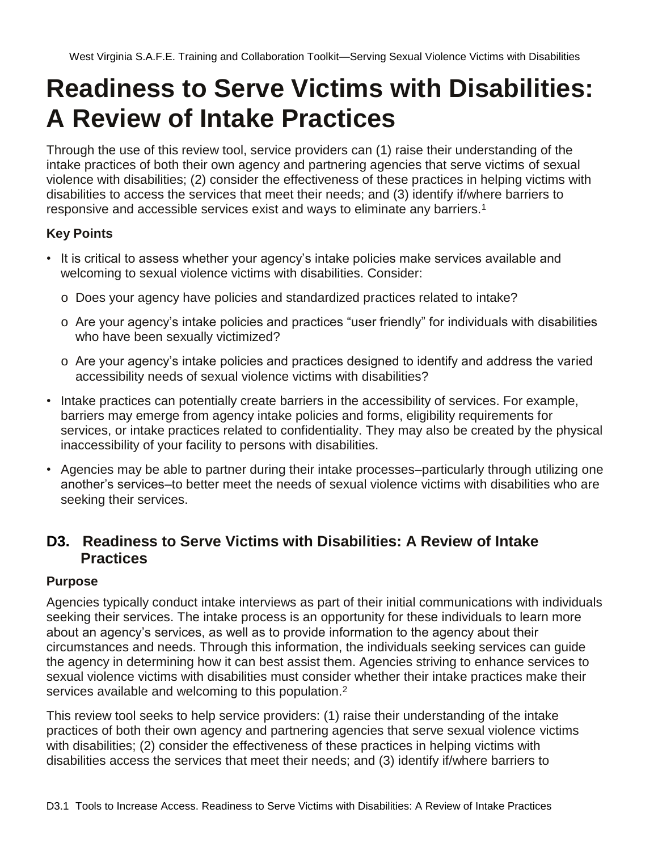# **Readiness to Serve Victims with Disabilities: A Review of Intake Practices**

Through the use of this review tool, service providers can (1) raise their understanding of the intake practices of both their own agency and partnering agencies that serve victims of sexual violence with disabilities; (2) consider the effectiveness of these practices in helping victims with disabilities to access the services that meet their needs; and (3) identify if/where barriers to responsive and accessible services exist and ways to eliminate any barriers.<sup>1</sup>

### **Key Points**

- It is critical to assess whether your agency's intake policies make services available and welcoming to sexual violence victims with disabilities. Consider:
	- o Does your agency have policies and standardized practices related to intake?
	- o Are your agency's intake policies and practices "user friendly" for individuals with disabilities who have been sexually victimized?
	- o Are your agency's intake policies and practices designed to identify and address the varied accessibility needs of sexual violence victims with disabilities?
- Intake practices can potentially create barriers in the accessibility of services. For example, barriers may emerge from agency intake policies and forms, eligibility requirements for services, or intake practices related to confidentiality. They may also be created by the physical inaccessibility of your facility to persons with disabilities.
- Agencies may be able to partner during their intake processes–particularly through utilizing one another's services–to better meet the needs of sexual violence victims with disabilities who are seeking their services.

## **D3. Readiness to Serve Victims with Disabilities: A Review of Intake Practices**

#### **Purpose**

Agencies typically conduct intake interviews as part of their initial communications with individuals seeking their services. The intake process is an opportunity for these individuals to learn more about an agency's services, as well as to provide information to the agency about their circumstances and needs. Through this information, the individuals seeking services can guide the agency in determining how it can best assist them. Agencies striving to enhance services to sexual violence victims with disabilities must consider whether their intake practices make their services available and welcoming to this population.<sup>2</sup>

This review tool seeks to help service providers: (1) raise their understanding of the intake practices of both their own agency and partnering agencies that serve sexual violence victims with disabilities; (2) consider the effectiveness of these practices in helping victims with disabilities access the services that meet their needs; and (3) identify if/where barriers to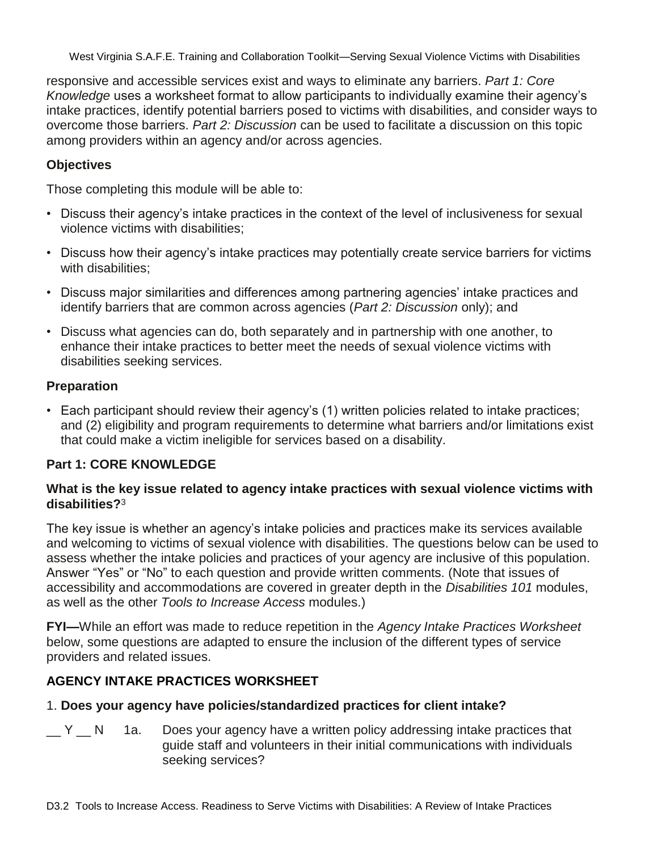responsive and accessible services exist and ways to eliminate any barriers. *Part 1: Core Knowledge* uses a worksheet format to allow participants to individually examine their agency's intake practices, identify potential barriers posed to victims with disabilities, and consider ways to overcome those barriers. *Part 2: Discussion* can be used to facilitate a discussion on this topic among providers within an agency and/or across agencies.

#### **Objectives**

Those completing this module will be able to:

- Discuss their agency's intake practices in the context of the level of inclusiveness for sexual violence victims with disabilities;
- Discuss how their agency's intake practices may potentially create service barriers for victims with disabilities;
- Discuss major similarities and differences among partnering agencies' intake practices and identify barriers that are common across agencies (*Part 2: Discussion* only); and
- Discuss what agencies can do, both separately and in partnership with one another, to enhance their intake practices to better meet the needs of sexual violence victims with disabilities seeking services.

#### **Preparation**

• Each participant should review their agency's (1) written policies related to intake practices; and (2) eligibility and program requirements to determine what barriers and/or limitations exist that could make a victim ineligible for services based on a disability.

#### **Part 1: CORE KNOWLEDGE**

#### **What is the key issue related to agency intake practices with sexual violence victims with disabilities?**<sup>3</sup>

The key issue is whether an agency's intake policies and practices make its services available and welcoming to victims of sexual violence with disabilities. The questions below can be used to assess whether the intake policies and practices of your agency are inclusive of this population. Answer "Yes" or "No" to each question and provide written comments. (Note that issues of accessibility and accommodations are covered in greater depth in the *Disabilities 101* modules, as well as the other *Tools to Increase Access* modules.)

**FYI—**While an effort was made to reduce repetition in the *Agency Intake Practices Worksheet* below, some questions are adapted to ensure the inclusion of the different types of service providers and related issues.

#### **AGENCY INTAKE PRACTICES WORKSHEET**

#### 1. **Does your agency have policies/standardized practices for client intake?**

 $\angle$  Y  $\angle$  N 1a. Does your agency have a written policy addressing intake practices that guide staff and volunteers in their initial communications with individuals seeking services?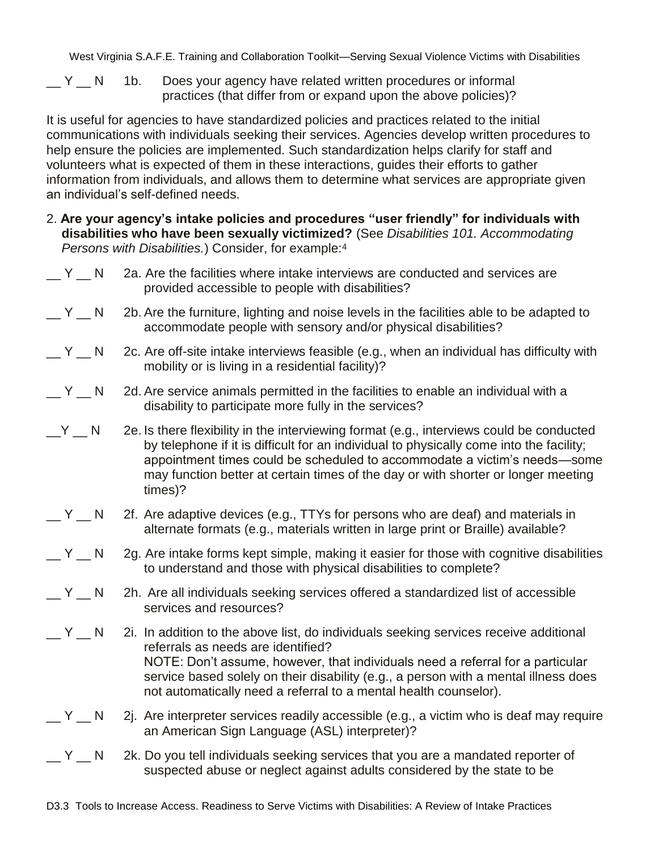$\angle$  Y  $\angle$  N 1b. Does your agency have related written procedures or informal practices (that differ from or expand upon the above policies)?

It is useful for agencies to have standardized policies and practices related to the initial communications with individuals seeking their services. Agencies develop written procedures to help ensure the policies are implemented. Such standardization helps clarify for staff and volunteers what is expected of them in these interactions, guides their efforts to gather information from individuals, and allows them to determine what services are appropriate given an individual's self-defined needs.

2. **Are your agency"s intake policies and procedures "user friendly" for individuals with disabilities who have been sexually victimized?** (See *Disabilities 101. Accommodating Persons with Disabilities.*) Consider, for example:<sup>4</sup>

| $Y = N$ | 2a. Are the facilities where intake interviews are conducted and services are<br>provided accessible to people with disabilities?                                                                                                                                                                                                                                        |
|---------|--------------------------------------------------------------------------------------------------------------------------------------------------------------------------------------------------------------------------------------------------------------------------------------------------------------------------------------------------------------------------|
| $Y = N$ | 2b. Are the furniture, lighting and noise levels in the facilities able to be adapted to<br>accommodate people with sensory and/or physical disabilities?                                                                                                                                                                                                                |
| $Y = N$ | 2c. Are off-site intake interviews feasible (e.g., when an individual has difficulty with<br>mobility or is living in a residential facility)?                                                                                                                                                                                                                           |
| $Y = N$ | 2d. Are service animals permitted in the facilities to enable an individual with a<br>disability to participate more fully in the services?                                                                                                                                                                                                                              |
| $Y$ $N$ | 2e. Is there flexibility in the interviewing format (e.g., interviews could be conducted<br>by telephone if it is difficult for an individual to physically come into the facility;<br>appointment times could be scheduled to accommodate a victim's needs-some<br>may function better at certain times of the day or with shorter or longer meeting<br>times)?         |
| $Y = N$ | 2f. Are adaptive devices (e.g., TTYs for persons who are deaf) and materials in<br>alternate formats (e.g., materials written in large print or Braille) available?                                                                                                                                                                                                      |
| $Y_N$   | 2g. Are intake forms kept simple, making it easier for those with cognitive disabilities<br>to understand and those with physical disabilities to complete?                                                                                                                                                                                                              |
| $Y = N$ | 2h. Are all individuals seeking services offered a standardized list of accessible<br>services and resources?                                                                                                                                                                                                                                                            |
| $Y_N$   | 2i. In addition to the above list, do individuals seeking services receive additional<br>referrals as needs are identified?<br>NOTE: Don't assume, however, that individuals need a referral for a particular<br>service based solely on their disability (e.g., a person with a mental illness does<br>not automatically need a referral to a mental health counselor). |
| $Y = N$ | 2. Are interpreter services readily accessible (e.g., a victim who is deaf may require<br>an American Sign Language (ASL) interpreter)?                                                                                                                                                                                                                                  |
| $Y_N$   | 2k. Do you tell individuals seeking services that you are a mandated reporter of<br>suspected abuse or neglect against adults considered by the state to be                                                                                                                                                                                                              |
|         |                                                                                                                                                                                                                                                                                                                                                                          |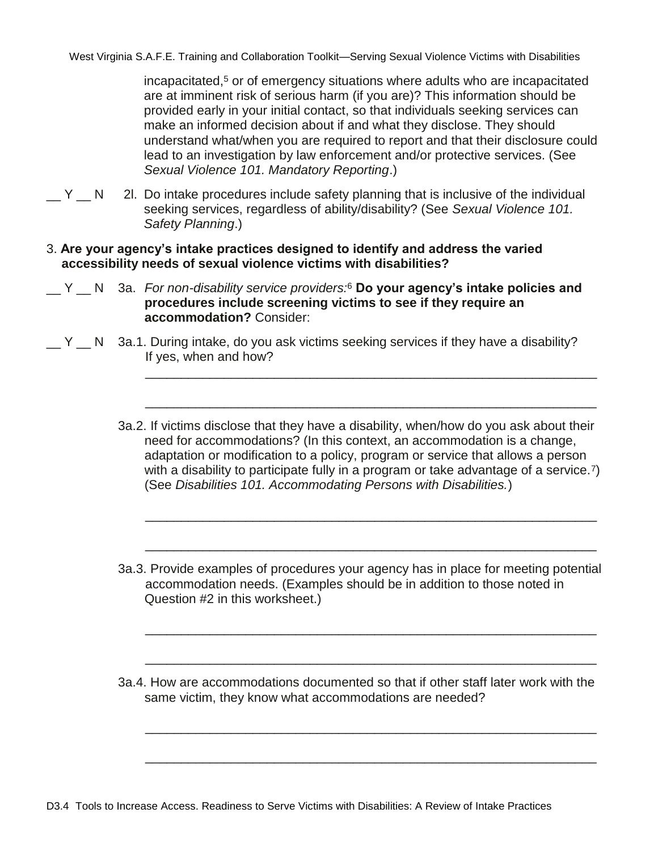incapacitated,<sup>5</sup> or of emergency situations where adults who are incapacitated are at imminent risk of serious harm (if you are)? This information should be provided early in your initial contact, so that individuals seeking services can make an informed decision about if and what they disclose. They should understand what/when you are required to report and that their disclosure could lead to an investigation by law enforcement and/or protective services. (See *Sexual Violence 101. Mandatory Reporting*.)

- $\angle$  Y  $\angle$  N 2l. Do intake procedures include safety planning that is inclusive of the individual seeking services, regardless of ability/disability? (See *Sexual Violence 101. Safety Planning*.)
- 3. **Are your agency"s intake practices designed to identify and address the varied accessibility needs of sexual violence victims with disabilities?**
- \_\_ Y \_\_ N 3a. *For non-disability service providers:*<sup>6</sup> **Do your agency"s intake policies and procedures include screening victims to see if they require an accommodation?** Consider:
- $\Box$  Y  $\Box$  N 3a.1. During intake, do you ask victims seeking services if they have a disability? If yes, when and how?
	- 3a.2. If victims disclose that they have a disability, when/how do you ask about their need for accommodations? (In this context, an accommodation is a change, adaptation or modification to a policy, program or service that allows a person with a disability to participate fully in a program or take advantage of a service.<sup>7</sup>) (See *Disabilities 101. Accommodating Persons with Disabilities.*)

\_\_\_\_\_\_\_\_\_\_\_\_\_\_\_\_\_\_\_\_\_\_\_\_\_\_\_\_\_\_\_\_\_\_\_\_\_\_\_\_\_\_\_\_\_\_\_\_\_\_\_\_\_\_\_\_\_\_\_\_\_\_\_

\_\_\_\_\_\_\_\_\_\_\_\_\_\_\_\_\_\_\_\_\_\_\_\_\_\_\_\_\_\_\_\_\_\_\_\_\_\_\_\_\_\_\_\_\_\_\_\_\_\_\_\_\_\_\_\_\_\_\_\_\_\_\_

\_\_\_\_\_\_\_\_\_\_\_\_\_\_\_\_\_\_\_\_\_\_\_\_\_\_\_\_\_\_\_\_\_\_\_\_\_\_\_\_\_\_\_\_\_\_\_\_\_\_\_\_\_\_\_\_\_\_\_\_\_\_\_

\_\_\_\_\_\_\_\_\_\_\_\_\_\_\_\_\_\_\_\_\_\_\_\_\_\_\_\_\_\_\_\_\_\_\_\_\_\_\_\_\_\_\_\_\_\_\_\_\_\_\_\_\_\_\_\_\_\_\_\_\_\_\_

\_\_\_\_\_\_\_\_\_\_\_\_\_\_\_\_\_\_\_\_\_\_\_\_\_\_\_\_\_\_\_\_\_\_\_\_\_\_\_\_\_\_\_\_\_\_\_\_\_\_\_\_\_\_\_\_\_\_\_\_\_\_\_

\_\_\_\_\_\_\_\_\_\_\_\_\_\_\_\_\_\_\_\_\_\_\_\_\_\_\_\_\_\_\_\_\_\_\_\_\_\_\_\_\_\_\_\_\_\_\_\_\_\_\_\_\_\_\_\_\_\_\_\_\_\_\_

\_\_\_\_\_\_\_\_\_\_\_\_\_\_\_\_\_\_\_\_\_\_\_\_\_\_\_\_\_\_\_\_\_\_\_\_\_\_\_\_\_\_\_\_\_\_\_\_\_\_\_\_\_\_\_\_\_\_\_\_\_\_\_

\_\_\_\_\_\_\_\_\_\_\_\_\_\_\_\_\_\_\_\_\_\_\_\_\_\_\_\_\_\_\_\_\_\_\_\_\_\_\_\_\_\_\_\_\_\_\_\_\_\_\_\_\_\_\_\_\_\_\_\_\_\_\_

- 3a.3. Provide examples of procedures your agency has in place for meeting potential accommodation needs. (Examples should be in addition to those noted in Question #2 in this worksheet.)
- 3a.4. How are accommodations documented so that if other staff later work with the same victim, they know what accommodations are needed?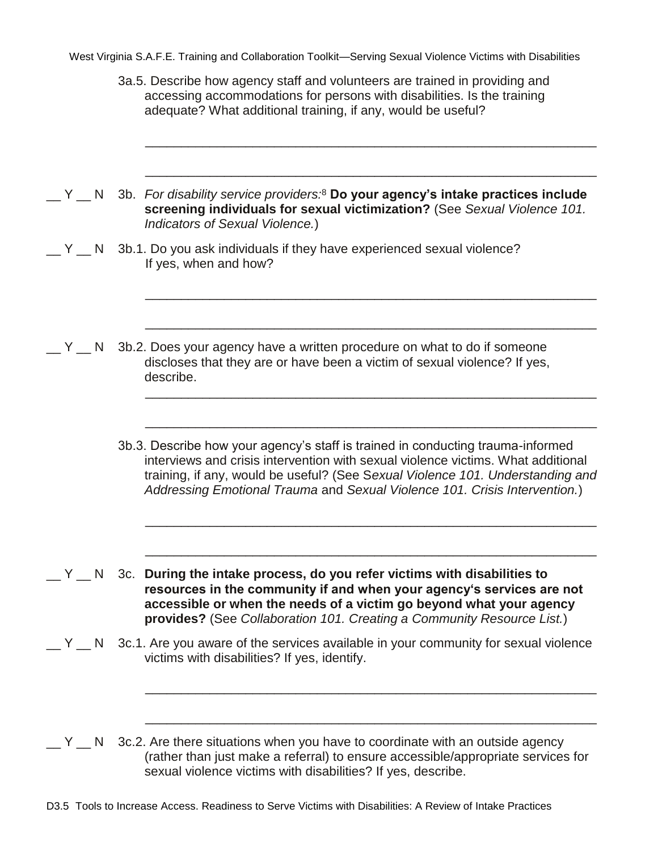3a.5. Describe how agency staff and volunteers are trained in providing and accessing accommodations for persons with disabilities. Is the training adequate? What additional training, if any, would be useful?

\_\_\_\_\_\_\_\_\_\_\_\_\_\_\_\_\_\_\_\_\_\_\_\_\_\_\_\_\_\_\_\_\_\_\_\_\_\_\_\_\_\_\_\_\_\_\_\_\_\_\_\_\_\_\_\_\_\_\_\_\_\_\_

\_\_\_\_\_\_\_\_\_\_\_\_\_\_\_\_\_\_\_\_\_\_\_\_\_\_\_\_\_\_\_\_\_\_\_\_\_\_\_\_\_\_\_\_\_\_\_\_\_\_\_\_\_\_\_\_\_\_\_\_\_\_\_

\_\_\_\_\_\_\_\_\_\_\_\_\_\_\_\_\_\_\_\_\_\_\_\_\_\_\_\_\_\_\_\_\_\_\_\_\_\_\_\_\_\_\_\_\_\_\_\_\_\_\_\_\_\_\_\_\_\_\_\_\_\_\_

\_\_\_\_\_\_\_\_\_\_\_\_\_\_\_\_\_\_\_\_\_\_\_\_\_\_\_\_\_\_\_\_\_\_\_\_\_\_\_\_\_\_\_\_\_\_\_\_\_\_\_\_\_\_\_\_\_\_\_\_\_\_\_

\_\_\_\_\_\_\_\_\_\_\_\_\_\_\_\_\_\_\_\_\_\_\_\_\_\_\_\_\_\_\_\_\_\_\_\_\_\_\_\_\_\_\_\_\_\_\_\_\_\_\_\_\_\_\_\_\_\_\_\_\_\_\_

\_\_\_\_\_\_\_\_\_\_\_\_\_\_\_\_\_\_\_\_\_\_\_\_\_\_\_\_\_\_\_\_\_\_\_\_\_\_\_\_\_\_\_\_\_\_\_\_\_\_\_\_\_\_\_\_\_\_\_\_\_\_\_

\_\_\_\_\_\_\_\_\_\_\_\_\_\_\_\_\_\_\_\_\_\_\_\_\_\_\_\_\_\_\_\_\_\_\_\_\_\_\_\_\_\_\_\_\_\_\_\_\_\_\_\_\_\_\_\_\_\_\_\_\_\_\_

\_\_\_\_\_\_\_\_\_\_\_\_\_\_\_\_\_\_\_\_\_\_\_\_\_\_\_\_\_\_\_\_\_\_\_\_\_\_\_\_\_\_\_\_\_\_\_\_\_\_\_\_\_\_\_\_\_\_\_\_\_\_\_

\_\_\_\_\_\_\_\_\_\_\_\_\_\_\_\_\_\_\_\_\_\_\_\_\_\_\_\_\_\_\_\_\_\_\_\_\_\_\_\_\_\_\_\_\_\_\_\_\_\_\_\_\_\_\_\_\_\_\_\_\_\_\_

\_\_\_\_\_\_\_\_\_\_\_\_\_\_\_\_\_\_\_\_\_\_\_\_\_\_\_\_\_\_\_\_\_\_\_\_\_\_\_\_\_\_\_\_\_\_\_\_\_\_\_\_\_\_\_\_\_\_\_\_\_\_\_

- \_\_ Y \_\_ N 3b. *For disability service providers:*<sup>8</sup> **Do your agency"s intake practices include screening individuals for sexual victimization?** (See *Sexual Violence 101. Indicators of Sexual Violence.*)
- Y N 3b.1. Do you ask individuals if they have experienced sexual violence? If yes, when and how?

 $\mathbb{Z}$  Y  $\mathbb{Z}$  N 3b.2. Does your agency have a written procedure on what to do if someone discloses that they are or have been a victim of sexual violence? If yes, describe.

> 3b.3. Describe how your agency's staff is trained in conducting trauma-informed interviews and crisis intervention with sexual violence victims. What additional training, if any, would be useful? (See S*exual Violence 101. Understanding and Addressing Emotional Trauma* and *Sexual Violence 101. Crisis Intervention.*)

\_\_ Y \_\_ N 3c. **During the intake process, do you refer victims with disabilities to resources in the community if and when your agency"s services are not accessible or when the needs of a victim go beyond what your agency provides?** (See *Collaboration 101. Creating a Community Resource List.*)

 $\sqrt{y}$  N 3c.1. Are you aware of the services available in your community for sexual violence victims with disabilities? If yes, identify.

 $\mathcal{L}$  Y  $\mathcal{L}$  N 3c.2. Are there situations when you have to coordinate with an outside agency (rather than just make a referral) to ensure accessible/appropriate services for sexual violence victims with disabilities? If yes, describe.

D3.5 Tools to Increase Access. Readiness to Serve Victims with Disabilities: A Review of Intake Practices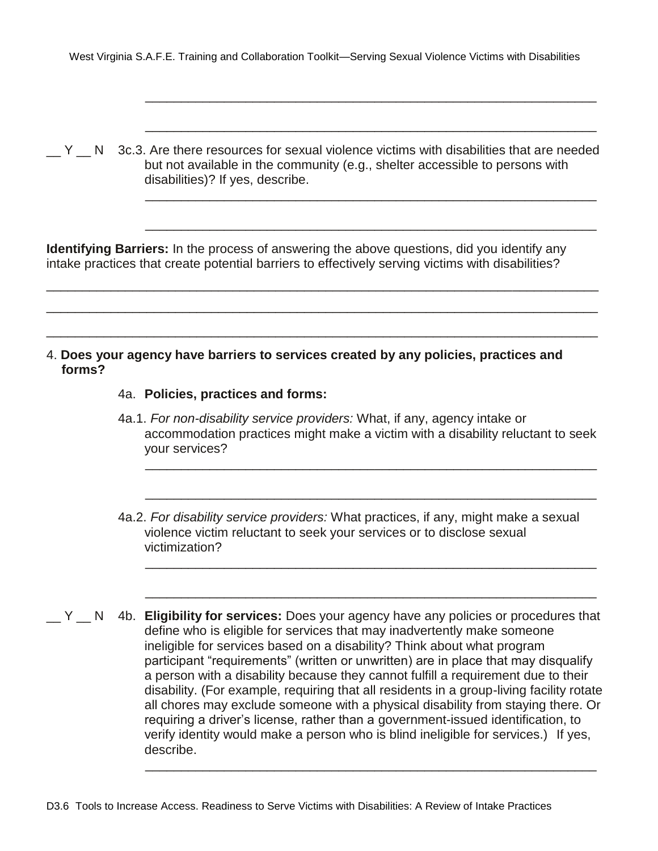\_\_\_\_\_\_\_\_\_\_\_\_\_\_\_\_\_\_\_\_\_\_\_\_\_\_\_\_\_\_\_\_\_\_\_\_\_\_\_\_\_\_\_\_\_\_\_\_\_\_\_\_\_\_\_\_\_\_\_\_\_\_\_

\_\_\_\_\_\_\_\_\_\_\_\_\_\_\_\_\_\_\_\_\_\_\_\_\_\_\_\_\_\_\_\_\_\_\_\_\_\_\_\_\_\_\_\_\_\_\_\_\_\_\_\_\_\_\_\_\_\_\_\_\_\_\_

\_\_\_\_\_\_\_\_\_\_\_\_\_\_\_\_\_\_\_\_\_\_\_\_\_\_\_\_\_\_\_\_\_\_\_\_\_\_\_\_\_\_\_\_\_\_\_\_\_\_\_\_\_\_\_\_\_\_\_\_\_\_\_

\_\_\_\_\_\_\_\_\_\_\_\_\_\_\_\_\_\_\_\_\_\_\_\_\_\_\_\_\_\_\_\_\_\_\_\_\_\_\_\_\_\_\_\_\_\_\_\_\_\_\_\_\_\_\_\_\_\_\_\_\_\_\_

 $\mathbb{N}$  N 3c.3. Are there resources for sexual violence victims with disabilities that are needed but not available in the community (e.g., shelter accessible to persons with disabilities)? If yes, describe.

**Identifying Barriers:** In the process of answering the above questions, did you identify any intake practices that create potential barriers to effectively serving victims with disabilities?

\_\_\_\_\_\_\_\_\_\_\_\_\_\_\_\_\_\_\_\_\_\_\_\_\_\_\_\_\_\_\_\_\_\_\_\_\_\_\_\_\_\_\_\_\_\_\_\_\_\_\_\_\_\_\_\_\_\_\_\_\_\_\_\_\_\_\_\_\_\_\_\_\_\_\_\_\_ \_\_\_\_\_\_\_\_\_\_\_\_\_\_\_\_\_\_\_\_\_\_\_\_\_\_\_\_\_\_\_\_\_\_\_\_\_\_\_\_\_\_\_\_\_\_\_\_\_\_\_\_\_\_\_\_\_\_\_\_\_\_\_\_\_\_\_\_\_\_\_\_\_\_\_\_\_

\_\_\_\_\_\_\_\_\_\_\_\_\_\_\_\_\_\_\_\_\_\_\_\_\_\_\_\_\_\_\_\_\_\_\_\_\_\_\_\_\_\_\_\_\_\_\_\_\_\_\_\_\_\_\_\_\_\_\_\_\_\_\_\_\_\_\_\_\_\_\_\_\_\_\_\_\_

- 4. **Does your agency have barriers to services created by any policies, practices and forms?**
	- 4a. **Policies, practices and forms:**
	- 4a.1. *For non-disability service providers:* What, if any, agency intake or accommodation practices might make a victim with a disability reluctant to seek your services?

\_\_\_\_\_\_\_\_\_\_\_\_\_\_\_\_\_\_\_\_\_\_\_\_\_\_\_\_\_\_\_\_\_\_\_\_\_\_\_\_\_\_\_\_\_\_\_\_\_\_\_\_\_\_\_\_\_\_\_\_\_\_\_

\_\_\_\_\_\_\_\_\_\_\_\_\_\_\_\_\_\_\_\_\_\_\_\_\_\_\_\_\_\_\_\_\_\_\_\_\_\_\_\_\_\_\_\_\_\_\_\_\_\_\_\_\_\_\_\_\_\_\_\_\_\_\_

\_\_\_\_\_\_\_\_\_\_\_\_\_\_\_\_\_\_\_\_\_\_\_\_\_\_\_\_\_\_\_\_\_\_\_\_\_\_\_\_\_\_\_\_\_\_\_\_\_\_\_\_\_\_\_\_\_\_\_\_\_\_\_

\_\_\_\_\_\_\_\_\_\_\_\_\_\_\_\_\_\_\_\_\_\_\_\_\_\_\_\_\_\_\_\_\_\_\_\_\_\_\_\_\_\_\_\_\_\_\_\_\_\_\_\_\_\_\_\_\_\_\_\_\_\_\_

\_\_\_\_\_\_\_\_\_\_\_\_\_\_\_\_\_\_\_\_\_\_\_\_\_\_\_\_\_\_\_\_\_\_\_\_\_\_\_\_\_\_\_\_\_\_\_\_\_\_\_\_\_\_\_\_\_\_\_\_\_\_\_

- 4a.2. *For disability service providers:* What practices, if any, might make a sexual violence victim reluctant to seek your services or to disclose sexual victimization?
- Y N 4b. **Eligibility for services:** Does your agency have any policies or procedures that define who is eligible for services that may inadvertently make someone ineligible for services based on a disability? Think about what program participant "requirements" (written or unwritten) are in place that may disqualify a person with a disability because they cannot fulfill a requirement due to their disability. (For example, requiring that all residents in a group-living facility rotate all chores may exclude someone with a physical disability from staying there. Or requiring a driver's license, rather than a government-issued identification, to verify identity would make a person who is blind ineligible for services.) If yes, describe.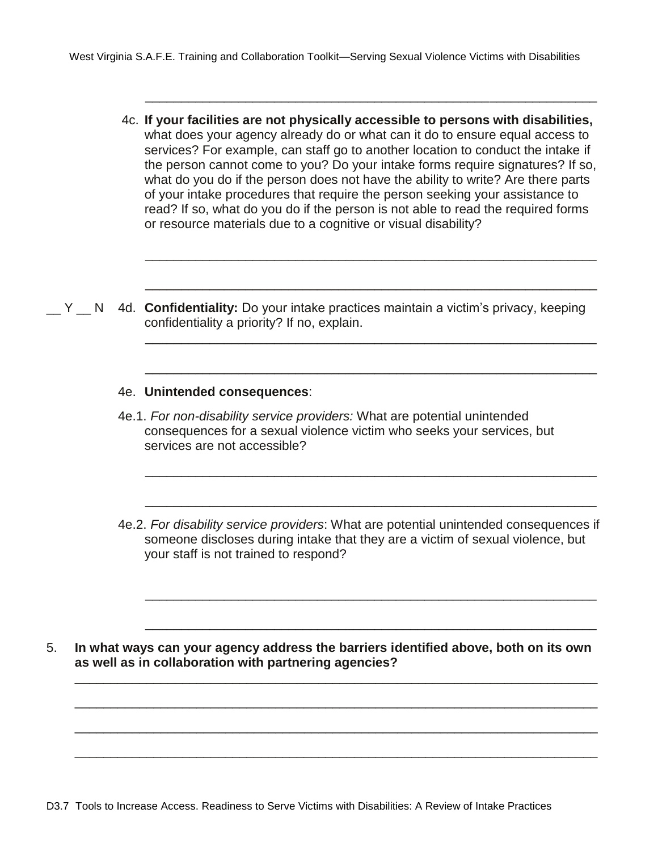4c. **If your facilities are not physically accessible to persons with disabilities,** what does your agency already do or what can it do to ensure equal access to services? For example, can staff go to another location to conduct the intake if the person cannot come to you? Do your intake forms require signatures? If so, what do you do if the person does not have the ability to write? Are there parts of your intake procedures that require the person seeking your assistance to read? If so, what do you do if the person is not able to read the required forms or resource materials due to a cognitive or visual disability?

\_\_\_\_\_\_\_\_\_\_\_\_\_\_\_\_\_\_\_\_\_\_\_\_\_\_\_\_\_\_\_\_\_\_\_\_\_\_\_\_\_\_\_\_\_\_\_\_\_\_\_\_\_\_\_\_\_\_\_\_\_\_\_

\_\_\_\_\_\_\_\_\_\_\_\_\_\_\_\_\_\_\_\_\_\_\_\_\_\_\_\_\_\_\_\_\_\_\_\_\_\_\_\_\_\_\_\_\_\_\_\_\_\_\_\_\_\_\_\_\_\_\_\_\_\_\_

\_\_\_\_\_\_\_\_\_\_\_\_\_\_\_\_\_\_\_\_\_\_\_\_\_\_\_\_\_\_\_\_\_\_\_\_\_\_\_\_\_\_\_\_\_\_\_\_\_\_\_\_\_\_\_\_\_\_\_\_\_\_\_

\_\_\_\_\_\_\_\_\_\_\_\_\_\_\_\_\_\_\_\_\_\_\_\_\_\_\_\_\_\_\_\_\_\_\_\_\_\_\_\_\_\_\_\_\_\_\_\_\_\_\_\_\_\_\_\_\_\_\_\_\_\_\_

\_\_\_\_\_\_\_\_\_\_\_\_\_\_\_\_\_\_\_\_\_\_\_\_\_\_\_\_\_\_\_\_\_\_\_\_\_\_\_\_\_\_\_\_\_\_\_\_\_\_\_\_\_\_\_\_\_\_\_\_\_\_\_

\_\_\_\_\_\_\_\_\_\_\_\_\_\_\_\_\_\_\_\_\_\_\_\_\_\_\_\_\_\_\_\_\_\_\_\_\_\_\_\_\_\_\_\_\_\_\_\_\_\_\_\_\_\_\_\_\_\_\_\_\_\_\_

\_\_\_\_\_\_\_\_\_\_\_\_\_\_\_\_\_\_\_\_\_\_\_\_\_\_\_\_\_\_\_\_\_\_\_\_\_\_\_\_\_\_\_\_\_\_\_\_\_\_\_\_\_\_\_\_\_\_\_\_\_\_\_

\_\_\_\_\_\_\_\_\_\_\_\_\_\_\_\_\_\_\_\_\_\_\_\_\_\_\_\_\_\_\_\_\_\_\_\_\_\_\_\_\_\_\_\_\_\_\_\_\_\_\_\_\_\_\_\_\_\_\_\_\_\_\_

\_\_\_\_\_\_\_\_\_\_\_\_\_\_\_\_\_\_\_\_\_\_\_\_\_\_\_\_\_\_\_\_\_\_\_\_\_\_\_\_\_\_\_\_\_\_\_\_\_\_\_\_\_\_\_\_\_\_\_\_\_\_\_

\_\_ Y \_\_ N 4d. **Confidentiality:** Do your intake practices maintain a victim's privacy, keeping confidentiality a priority? If no, explain.

#### 4e. **Unintended consequences**:

- 4e.1. *For non-disability service providers:* What are potential unintended consequences for a sexual violence victim who seeks your services, but services are not accessible?
- 4e.2. *For disability service providers*: What are potential unintended consequences if someone discloses during intake that they are a victim of sexual violence, but your staff is not trained to respond?

5. **In what ways can your agency address the barriers identified above, both on its own as well as in collaboration with partnering agencies?**

\_\_\_\_\_\_\_\_\_\_\_\_\_\_\_\_\_\_\_\_\_\_\_\_\_\_\_\_\_\_\_\_\_\_\_\_\_\_\_\_\_\_\_\_\_\_\_\_\_\_\_\_\_\_\_\_\_\_\_\_\_\_\_\_\_\_\_\_\_\_\_\_\_

\_\_\_\_\_\_\_\_\_\_\_\_\_\_\_\_\_\_\_\_\_\_\_\_\_\_\_\_\_\_\_\_\_\_\_\_\_\_\_\_\_\_\_\_\_\_\_\_\_\_\_\_\_\_\_\_\_\_\_\_\_\_\_\_\_\_\_\_\_\_\_\_\_

\_\_\_\_\_\_\_\_\_\_\_\_\_\_\_\_\_\_\_\_\_\_\_\_\_\_\_\_\_\_\_\_\_\_\_\_\_\_\_\_\_\_\_\_\_\_\_\_\_\_\_\_\_\_\_\_\_\_\_\_\_\_\_\_\_\_\_\_\_\_\_\_\_

\_\_\_\_\_\_\_\_\_\_\_\_\_\_\_\_\_\_\_\_\_\_\_\_\_\_\_\_\_\_\_\_\_\_\_\_\_\_\_\_\_\_\_\_\_\_\_\_\_\_\_\_\_\_\_\_\_\_\_\_\_\_\_\_\_\_\_\_\_\_\_\_\_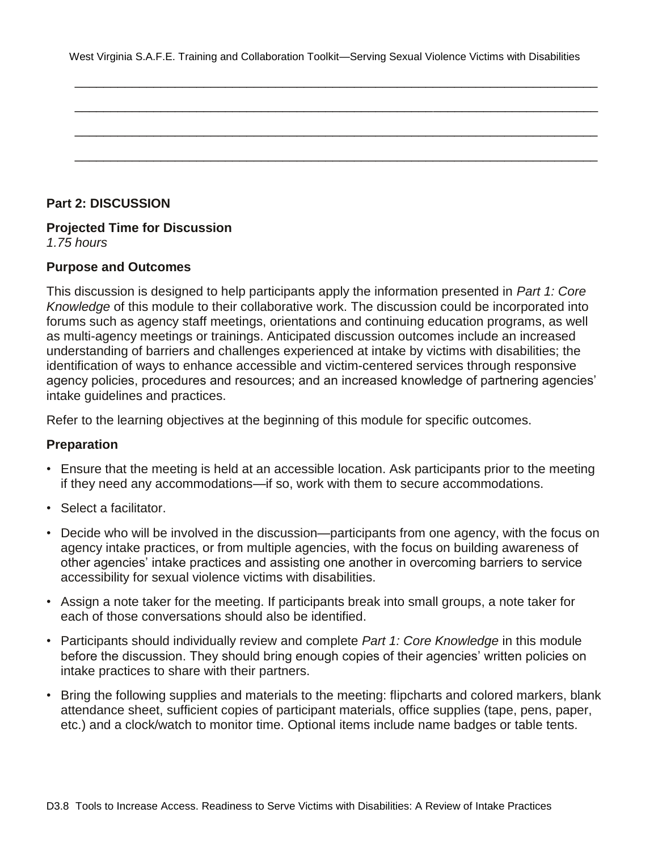|  |  |  | West Virginia S.A.F.E. Training and Collaboration Toolkit—Serving Sexual Violence Victims with Disabilities |
|--|--|--|-------------------------------------------------------------------------------------------------------------|
|--|--|--|-------------------------------------------------------------------------------------------------------------|

\_\_\_\_\_\_\_\_\_\_\_\_\_\_\_\_\_\_\_\_\_\_\_\_\_\_\_\_\_\_\_\_\_\_\_\_\_\_\_\_\_\_\_\_\_\_\_\_\_\_\_\_\_\_\_\_\_\_\_\_\_\_\_\_\_\_\_\_\_\_\_\_\_

\_\_\_\_\_\_\_\_\_\_\_\_\_\_\_\_\_\_\_\_\_\_\_\_\_\_\_\_\_\_\_\_\_\_\_\_\_\_\_\_\_\_\_\_\_\_\_\_\_\_\_\_\_\_\_\_\_\_\_\_\_\_\_\_\_\_\_\_\_\_\_\_\_

\_\_\_\_\_\_\_\_\_\_\_\_\_\_\_\_\_\_\_\_\_\_\_\_\_\_\_\_\_\_\_\_\_\_\_\_\_\_\_\_\_\_\_\_\_\_\_\_\_\_\_\_\_\_\_\_\_\_\_\_\_\_\_\_\_\_\_\_\_\_\_\_\_

\_\_\_\_\_\_\_\_\_\_\_\_\_\_\_\_\_\_\_\_\_\_\_\_\_\_\_\_\_\_\_\_\_\_\_\_\_\_\_\_\_\_\_\_\_\_\_\_\_\_\_\_\_\_\_\_\_\_\_\_\_\_\_\_\_\_\_\_\_\_\_\_\_

#### **Part 2: DISCUSSION**

## **Projected Time for Discussion**

*1.75 hours*

#### **Purpose and Outcomes**

This discussion is designed to help participants apply the information presented in *Part 1: Core Knowledge* of this module to their collaborative work. The discussion could be incorporated into forums such as agency staff meetings, orientations and continuing education programs, as well as multi-agency meetings or trainings. Anticipated discussion outcomes include an increased understanding of barriers and challenges experienced at intake by victims with disabilities; the identification of ways to enhance accessible and victim-centered services through responsive agency policies, procedures and resources; and an increased knowledge of partnering agencies' intake guidelines and practices.

Refer to the learning objectives at the beginning of this module for specific outcomes.

#### **Preparation**

- Ensure that the meeting is held at an accessible location. Ask participants prior to the meeting if they need any accommodations—if so, work with them to secure accommodations.
- Select a facilitator.
- Decide who will be involved in the discussion—participants from one agency, with the focus on agency intake practices, or from multiple agencies, with the focus on building awareness of other agencies' intake practices and assisting one another in overcoming barriers to service accessibility for sexual violence victims with disabilities.
- Assign a note taker for the meeting. If participants break into small groups, a note taker for each of those conversations should also be identified.
- Participants should individually review and complete *Part 1: Core Knowledge* in this module before the discussion. They should bring enough copies of their agencies' written policies on intake practices to share with their partners.
- Bring the following supplies and materials to the meeting: flipcharts and colored markers, blank attendance sheet, sufficient copies of participant materials, office supplies (tape, pens, paper, etc.) and a clock/watch to monitor time. Optional items include name badges or table tents.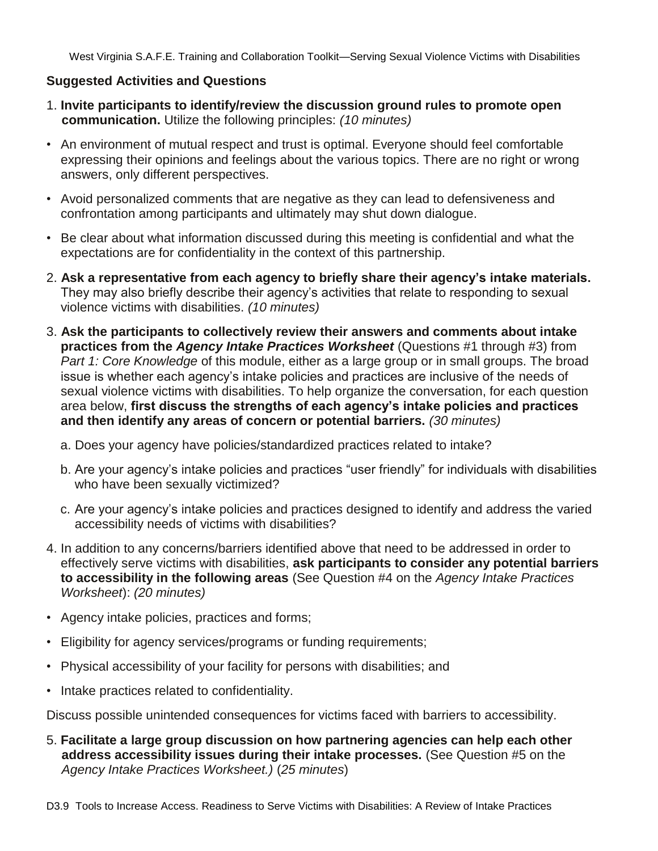#### **Suggested Activities and Questions**

- 1. **Invite participants to identify/review the discussion ground rules to promote open communication.** Utilize the following principles: *(10 minutes)*
- An environment of mutual respect and trust is optimal. Everyone should feel comfortable expressing their opinions and feelings about the various topics. There are no right or wrong answers, only different perspectives.
- Avoid personalized comments that are negative as they can lead to defensiveness and confrontation among participants and ultimately may shut down dialogue.
- Be clear about what information discussed during this meeting is confidential and what the expectations are for confidentiality in the context of this partnership.
- 2. **Ask a representative from each agency to briefly share their agency"s intake materials.**  They may also briefly describe their agency's activities that relate to responding to sexual violence victims with disabilities. *(10 minutes)*
- 3. **Ask the participants to collectively review their answers and comments about intake practices from the** *Agency Intake Practices Worksheet* (Questions #1 through #3) from *Part 1: Core Knowledge* of this module, either as a large group or in small groups. The broad issue is whether each agency's intake policies and practices are inclusive of the needs of sexual violence victims with disabilities. To help organize the conversation, for each question area below, **first discuss the strengths of each agency"s intake policies and practices and then identify any areas of concern or potential barriers.** *(30 minutes)*
	- a. Does your agency have policies/standardized practices related to intake?
	- b. Are your agency's intake policies and practices "user friendly" for individuals with disabilities who have been sexually victimized?
	- c. Are your agency's intake policies and practices designed to identify and address the varied accessibility needs of victims with disabilities?
- 4. In addition to any concerns/barriers identified above that need to be addressed in order to effectively serve victims with disabilities, **ask participants to consider any potential barriers to accessibility in the following areas** (See Question #4 on the *Agency Intake Practices Worksheet*): *(20 minutes)*
- Agency intake policies, practices and forms;
- Eligibility for agency services/programs or funding requirements;
- Physical accessibility of your facility for persons with disabilities; and
- Intake practices related to confidentiality.

Discuss possible unintended consequences for victims faced with barriers to accessibility.

5. **Facilitate a large group discussion on how partnering agencies can help each other address accessibility issues during their intake processes.** (See Question #5 on the *Agency Intake Practices Worksheet.)* (*25 minutes*)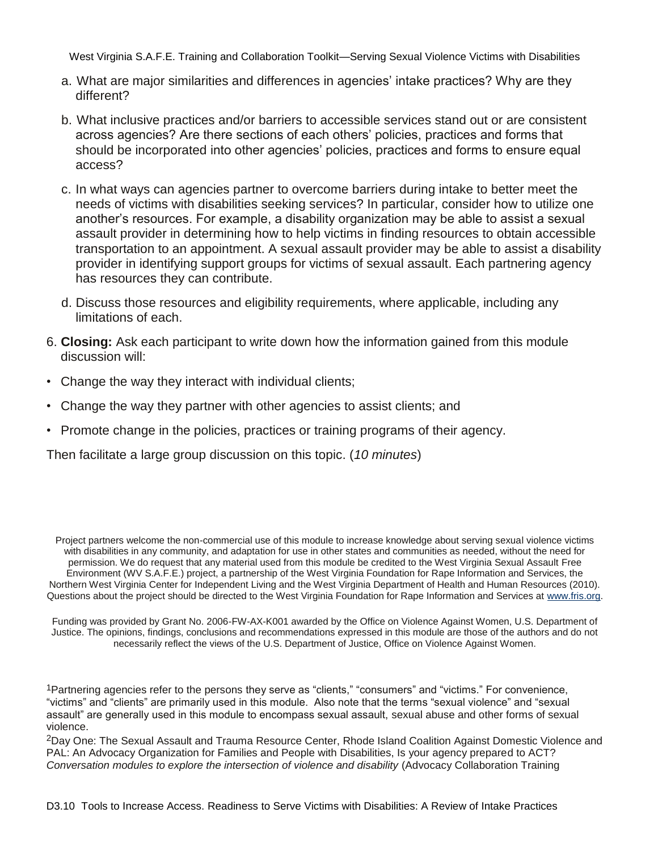- a. What are major similarities and differences in agencies' intake practices? Why are they different?
- b. What inclusive practices and/or barriers to accessible services stand out or are consistent across agencies? Are there sections of each others' policies, practices and forms that should be incorporated into other agencies' policies, practices and forms to ensure equal access?
- c. In what ways can agencies partner to overcome barriers during intake to better meet the needs of victims with disabilities seeking services? In particular, consider how to utilize one another's resources. For example, a disability organization may be able to assist a sexual assault provider in determining how to help victims in finding resources to obtain accessible transportation to an appointment. A sexual assault provider may be able to assist a disability provider in identifying support groups for victims of sexual assault. Each partnering agency has resources they can contribute.
- d. Discuss those resources and eligibility requirements, where applicable, including any limitations of each.
- 6. **Closing:** Ask each participant to write down how the information gained from this module discussion will:
- Change the way they interact with individual clients;
- Change the way they partner with other agencies to assist clients; and
- Promote change in the policies, practices or training programs of their agency.

Then facilitate a large group discussion on this topic. (*10 minutes*)

Project partners welcome the non-commercial use of this module to increase knowledge about serving sexual violence victims with disabilities in any community, and adaptation for use in other states and communities as needed, without the need for permission. We do request that any material used from this module be credited to the West Virginia Sexual Assault Free Environment (WV S.A.F.E.) project, a partnership of the West Virginia Foundation for Rape Information and Services, the Northern West Virginia Center for Independent Living and the West Virginia Department of Health and Human Resources (2010). Questions about the project should be directed to the West Virginia Foundation for Rape Information and Services at www.fris.org.

Funding was provided by Grant No. 2006-FW-AX-K001 awarded by the Office on Violence Against Women, U.S. Department of Justice. The opinions, findings, conclusions and recommendations expressed in this module are those of the authors and do not necessarily reflect the views of the U.S. Department of Justice, Office on Violence Against Women.

1Partnering agencies refer to the persons they serve as "clients," "consumers" and "victims." For convenience, "victims" and "clients" are primarily used in this module. Also note that the terms "sexual violence" and "sexual assault‖ are generally used in this module to encompass sexual assault, sexual abuse and other forms of sexual violence.

2Day One: The Sexual Assault and Trauma Resource Center, Rhode Island Coalition Against Domestic Violence and PAL: An Advocacy Organization for Families and People with Disabilities, Is your agency prepared to ACT? *Conversation modules to explore the intersection of violence and disability* (Advocacy Collaboration Training